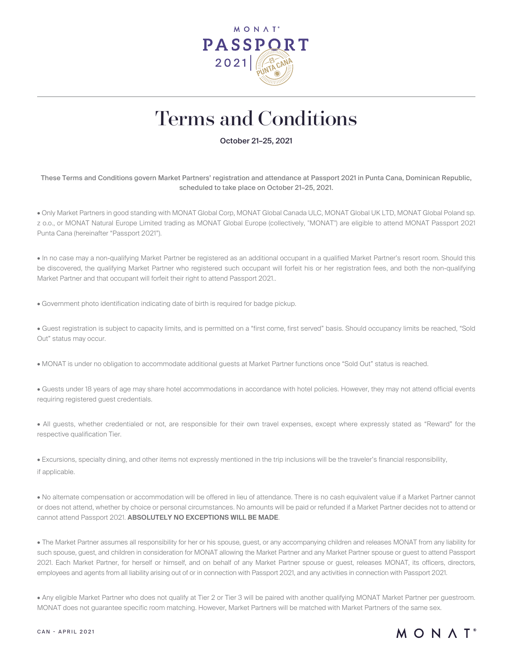

## Terms and Conditions

## October 21–25, 2021

These Terms and Conditions govern Market Partners' registration and attendance at Passport 2021 in Punta Cana, Dominican Republic, scheduled to take place on October 21–25, 2021.

• Only Market Partners in good standing with MONAT Global Corp, MONAT Global Canada ULC, MONAT Global UK LTD, MONAT Global Poland sp. z o.o., or MONAT Natural Europe Limited trading as MONAT Global Europe (collectively, "MONAT") are eligible to attend MONAT Passport 2021 Punta Cana (hereinafter "Passport 2021").

• In no case may a non-qualifying Market Partner be registered as an additional occupant in a qualified Market Partner's resort room. Should this be discovered, the qualifying Market Partner who registered such occupant will forfeit his or her registration fees, and both the non-qualifying Market Partner and that occupant will forfeit their right to attend Passport 2021..

• Government photo identification indicating date of birth is required for badge pickup.

• Guest registration is subject to capacity limits, and is permitted on a "first come, first served" basis. Should occupancy limits be reached, "Sold Out" status may occur.

• MONAT is under no obligation to accommodate additional guests at Market Partner functions once "Sold Out" status is reached.

• Guests under 18 years of age may share hotel accommodations in accordance with hotel policies. However, they may not attend official events requiring registered guest credentials.

• All guests, whether credentialed or not, are responsible for their own travel expenses, except where expressly stated as "Reward" for the respective qualification Tier.

• Excursions, specialty dining, and other items not expressly mentioned in the trip inclusions will be the traveler's financial responsibility, if applicable.

• No alternate compensation or accommodation will be offered in lieu of attendance. There is no cash equivalent value if a Market Partner cannot or does not attend, whether by choice or personal circumstances. No amounts will be paid or refunded if a Market Partner decides not to attend or cannot attend Passport 2021. **ABSOLUTELY NO EXCEPTIONS WILL BE MADE**.

• The Market Partner assumes all responsibility for her or his spouse, guest, or any accompanying children and releases MONAT from any liability for such spouse, guest, and children in consideration for MONAT allowing the Market Partner and any Market Partner spouse or guest to attend Passport 2021. Each Market Partner, for herself or himself, and on behalf of any Market Partner spouse or guest, releases MONAT, its officers, directors, employees and agents from all liability arising out of or in connection with Passport 2021, and any activities in connection with Passport 2021.

• Any eligible Market Partner who does not qualify at Tier 2 or Tier 3 will be paired with another qualifying MONAT Market Partner per guestroom. MONAT does not guarantee specific room matching. However, Market Partners will be matched with Market Partners of the same sex.

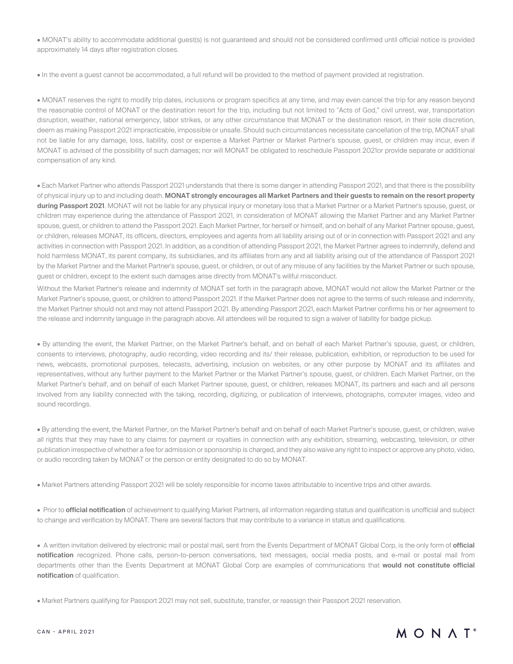• MONAT's ability to accommodate additional guest(s) is not guaranteed and should not be considered confirmed until official notice is provided approximately 14 days after registration closes.

• In the event a guest cannot be accommodated, a full refund will be provided to the method of payment provided at registration.

• MONAT reserves the right to modify trip dates, inclusions or program specifics at any time, and may even cancel the trip for any reason beyond the reasonable control of MONAT or the destination resort for the trip, including but not limited to "Acts of God," civil unrest, war, transportation disruption, weather, national emergency, labor strikes, or any other circumstance that MONAT or the destination resort, in their sole discretion, deem as making Passport 2021 impracticable, impossible or unsafe. Should such circumstances necessitate cancellation of the trip, MONAT shall not be liable for any damage, loss, liability, cost or expense a Market Partner or Market Partner's spouse, guest, or children may incur, even if MONAT is advised of the possibility of such damages; nor will MONAT be obligated to reschedule Passport 2021or provide separate or additional compensation of any kind.

• Each Market Partner who attends Passport 2021 understands that there is some danger in attending Passport 2021, and that there is the possibility of physical injury up to and including death. **MONAT strongly encourages all Market Partners and their guests to remain on the resort property during Passport 2021**. MONAT will not be liable for any physical injury or monetary loss that a Market Partner or a Market Partner's spouse, guest, or children may experience during the attendance of Passport 2021, in consideration of MONAT allowing the Market Partner and any Market Partner spouse, guest, or children to attend the Passport 2021. Each Market Partner, for herself or himself, and on behalf of any Market Partner spouse, guest, or children, releases MONAT, its officers, directors, employees and agents from all liability arising out of or in connection with Passport 2021 and any activities in connection with Passport 2021. In addition, as a condition of attending Passport 2021, the Market Partner agrees to indemnify, defend and hold harmless MONAT, its parent company, its subsidiaries, and its affiliates from any and all liability arising out of the attendance of Passport 2021 by the Market Partner and the Market Partner's spouse, guest, or children, or out of any misuse of any facilities by the Market Partner or such spouse, guest or children, except to the extent such damages arise directly from MONAT's willful misconduct.

Without the Market Partner's release and indemnity of MONAT set forth in the paragraph above, MONAT would not allow the Market Partner or the Market Partner's spouse, guest, or children to attend Passport 2021. If the Market Partner does not agree to the terms of such release and indemnity, the Market Partner should not and may not attend Passport 2021. By attending Passport 2021, each Market Partner confirms his or her agreement to the release and indemnity language in the paragraph above. All attendees will be required to sign a waiver of liability for badge pickup.

• By attending the event, the Market Partner, on the Market Partner's behalf, and on behalf of each Market Partner's spouse, guest, or children, consents to interviews, photography, audio recording, video recording and its/ their release, publication, exhibition, or reproduction to be used for news, webcasts, promotional purposes, telecasts, advertising, inclusion on websites, or any other purpose by MONAT and its affiliates and representatives, without any further payment to the Market Partner or the Market Partner's spouse, guest, or children. Each Market Partner, on the Market Partner's behalf, and on behalf of each Market Partner spouse, guest, or children, releases MONAT, its partners and each and all persons involved from any liability connected with the taking, recording, digitizing, or publication of interviews, photographs, computer images, video and sound recordings.

• By attending the event, the Market Partner, on the Market Partner's behalf and on behalf of each Market Partner's spouse, guest, or children, waive all rights that they may have to any claims for payment or royalties in connection with any exhibition, streaming, webcasting, television, or other publication irrespective of whether a fee for admission or sponsorship is charged, and they also waive any right to inspect or approve any photo, video, or audio recording taken by MONAT or the person or entity designated to do so by MONAT.

• Market Partners attending Passport 2021 will be solely responsible for income taxes attributable to incentive trips and other awards.

• Prior to **official notification** of achievement to qualifying Market Partners, all information regarding status and qualification is unofficial and subject to change and verification by MONAT. There are several factors that may contribute to a variance in status and qualifications.

• A written invitation delivered by electronic mail or postal mail, sent from the Events Department of MONAT Global Corp, is the only form of **official notification** recognized. Phone calls, person-to-person conversations, text messages, social media posts, and e-mail or postal mail from departments other than the Events Department at MONAT Global Corp are examples of communications that **would not constitute official notification** of qualification.

• Market Partners qualifying for Passport 2021 may not sell, substitute, transfer, or reassign their Passport 2021 reservation.